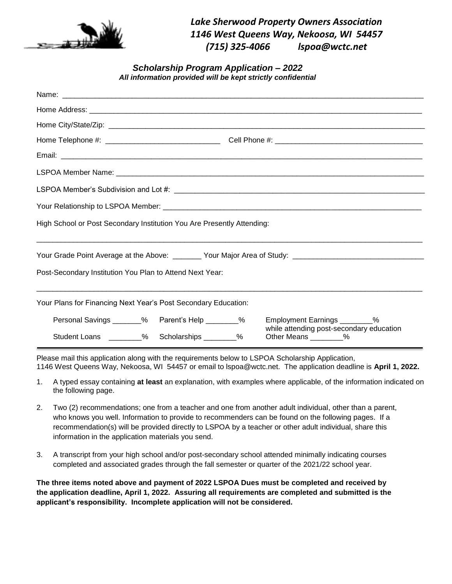

*Lake Sherwood Property Owners Association 1146 West Queens Way, Nekoosa, WI 54457 (715) 325-4066 lspoa@wctc.net*

*Scholarship Program Application – 2022 All information provided will be kept strictly confidential*

| High School or Post Secondary Institution You Are Presently Attending: |  |  |  |                                                                                                    |  |  |
|------------------------------------------------------------------------|--|--|--|----------------------------------------------------------------------------------------------------|--|--|
|                                                                        |  |  |  |                                                                                                    |  |  |
| Post-Secondary Institution You Plan to Attend Next Year:               |  |  |  |                                                                                                    |  |  |
| Your Plans for Financing Next Year's Post Secondary Education:         |  |  |  |                                                                                                    |  |  |
| Personal Savings _______% Parent's Help ________%                      |  |  |  | Employment Earnings ________%<br>while attending post-secondary education<br>Other Means ________% |  |  |
| Student Loans ________% Scholarships ________%                         |  |  |  |                                                                                                    |  |  |

Please mail this application along with the requirements below to LSPOA Scholarship Application, 1146 West Queens Way, Nekoosa, WI 54457 or email to lspoa@wctc.net. The application deadline is **April 1, 2022.** 

- 1. A typed essay containing **at least** an explanation, with examples where applicable, of the information indicated on the following page.
- 2. Two (2) recommendations; one from a teacher and one from another adult individual, other than a parent, who knows you well. Information to provide to recommenders can be found on the following pages. If a recommendation(s) will be provided directly to LSPOA by a teacher or other adult individual, share this information in the application materials you send.
- 3. A transcript from your high school and/or post-secondary school attended minimally indicating courses completed and associated grades through the fall semester or quarter of the 2021/22 school year.

**The three items noted above and payment of 2022 LSPOA Dues must be completed and received by the application deadline, April 1, 2022. Assuring all requirements are completed and submitted is the applicant's responsibility. Incomplete application will not be considered.**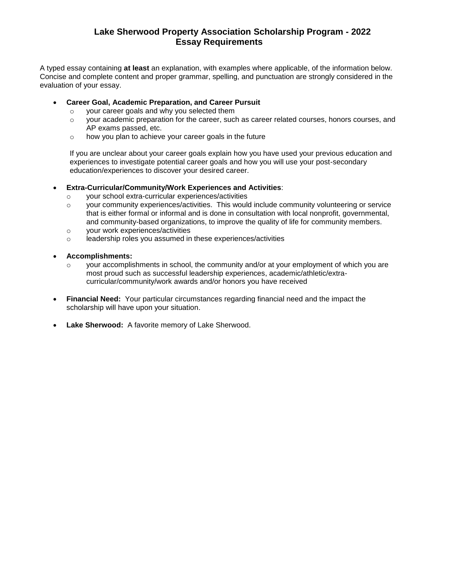## **Lake Sherwood Property Association Scholarship Program - 2022 Essay Requirements**

A typed essay containing **at least** an explanation, with examples where applicable, of the information below. Concise and complete content and proper grammar, spelling, and punctuation are strongly considered in the evaluation of your essay.

### **Career Goal, Academic Preparation, and Career Pursuit**

- o your career goals and why you selected them
- o your academic preparation for the career, such as career related courses, honors courses, and AP exams passed, etc.
- o how you plan to achieve your career goals in the future

If you are unclear about your career goals explain how you have used your previous education and experiences to investigate potential career goals and how you will use your post-secondary education/experiences to discover your desired career.

### **Extra-Curricular/Community/Work Experiences and Activities**:

- o your school extra-curricular experiences/activities
- $\circ$  vour community experiences/activities. This would include community volunteering or service that is either formal or informal and is done in consultation with local nonprofit, governmental, and community-based organizations, to improve the quality of life for community members.
- o your work experiences/activities
- o leadership roles you assumed in these experiences/activities

### **Accomplishments:**

- $\circ$  vour accomplishments in school, the community and/or at your employment of which you are most proud such as successful leadership experiences, academic/athletic/extracurricular/community/work awards and/or honors you have received
- **Financial Need:** Your particular circumstances regarding financial need and the impact the scholarship will have upon your situation.
- **Lake Sherwood:** A favorite memory of Lake Sherwood.